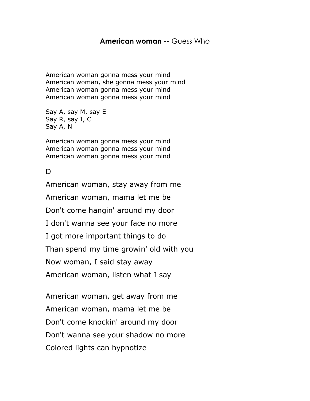## **American woman --** Guess Who

American woman gonna mess your mind American woman, she gonna mess your mind American woman gonna mess your mind American woman gonna mess your mind

Say A, say M, say E Say R, say I, C Say A, N

American woman gonna mess your mind American woman gonna mess your mind American woman gonna mess your mind

D.

American woman, stay away from me American woman, mama let me be Don't come hangin' around my door I don't wanna see your face no more I got more important things to do Than spend my time growin' old with you Now woman, I said stay away American woman, listen what I say

American woman, get away from me American woman, mama let me be Don't come knockin' around my door Don't wanna see your shadow no more Colored lights can hypnotize